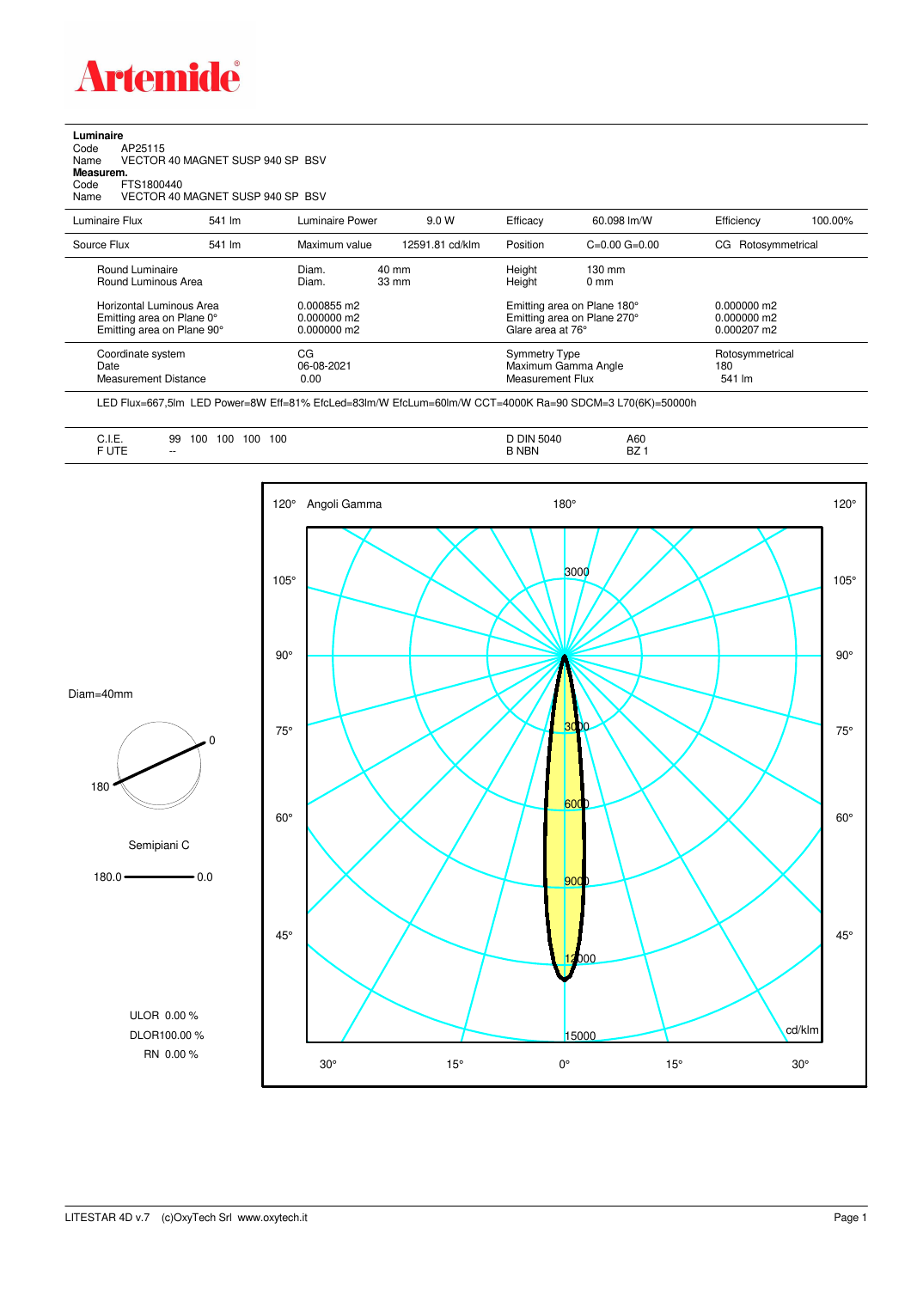

## **Luminaire** Code AP25115 Name VECTOR 40 MAGNET SUSP 940 SP BSV Code A<br>Name V<br>**Measurem.** Code FTS1800440<br>Name VECTOR 40 VECTOR 40 MAGNET SUSP 940 SP BSV Luminaire Flux 541 lm Luminaire Power 9.0 W Efficacy 60.098 lm/W Efficiency 100.00%

| Source Flux                                                                         | 541 lm | Maximum value                             | 12591.81 cd/klm          | Position                                                                        | $C=0.00$ $G=0.00$                  | CG Rotosymmetrical                                     |
|-------------------------------------------------------------------------------------|--------|-------------------------------------------|--------------------------|---------------------------------------------------------------------------------|------------------------------------|--------------------------------------------------------|
| Round Luminaire<br>Round Luminous Area                                              |        | Diam.<br>Diam.                            | 40 mm<br>$33 \text{ mm}$ | Height<br>Height                                                                | $130 \text{ mm}$<br>$0 \text{ mm}$ |                                                        |
| Horizontal Luminous Area<br>Emitting area on Plane 0°<br>Emitting area on Plane 90° |        | 0.000855 m2<br>0.000000 m2<br>0.000000 m2 |                          | Emitting area on Plane 180°<br>Emitting area on Plane 270°<br>Glare area at 76° |                                    | $0.000000$ m2<br>$0.000000$ m2<br>$0.000207 \text{ m}$ |
| Coordinate system<br>Date<br>Measurement Distance                                   |        | CG<br>06-08-2021<br>0.00                  |                          | <b>Symmetry Type</b><br>Maximum Gamma Angle<br>Measurement Flux                 |                                    | Rotosymmetrical<br>180<br>541 lm                       |

LED Flux=667,5lm LED Power=8W Eff=81% EfcLed=83lm/W EfcLum=60lm/W CCT=4000K Ra=90 SDCM=3 L70(6K)=50000h